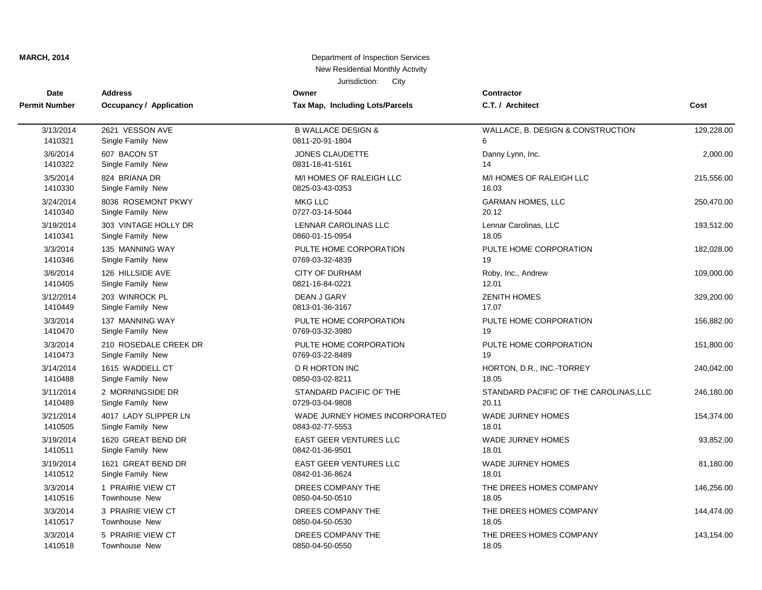| Date                 | <b>Address</b>          | Owner                           | <b>Contractor</b>                      |            |
|----------------------|-------------------------|---------------------------------|----------------------------------------|------------|
| <b>Permit Number</b> | Occupancy / Application | Tax Map, Including Lots/Parcels | C.T. / Architect                       | Cost       |
| 3/13/2014            | 2621 VESSON AVE         | <b>B WALLACE DESIGN &amp;</b>   | WALLACE, B. DESIGN & CONSTRUCTION      | 129,228.00 |
| 1410321              | Single Family New       | 0811-20-91-1804                 | 6                                      |            |
| 3/6/2014             | 607 BACON ST            | JONES CLAUDETTE                 | Danny Lynn, Inc.                       | 2,000.00   |
| 1410322              | Single Family New       | 0831-18-41-5161                 | 14                                     |            |
| 3/5/2014             | 824 BRIANA DR           | M/I HOMES OF RALEIGH LLC        | M/I HOMES OF RALEIGH LLC               | 215,556.00 |
| 1410330              | Single Family New       | 0825-03-43-0353                 | 16.03                                  |            |
| 3/24/2014            | 8036 ROSEMONT PKWY      | <b>MKG LLC</b>                  | <b>GARMAN HOMES, LLC</b>               | 250,470.00 |
| 1410340              | Single Family New       | 0727-03-14-5044                 | 20.12                                  |            |
| 3/19/2014            | 303 VINTAGE HOLLY DR    | LENNAR CAROLINAS LLC            | Lennar Carolinas, LLC                  | 193,512.00 |
| 1410341              | Single Family New       | 0860-01-15-0954                 | 18.05                                  |            |
| 3/3/2014             | 135 MANNING WAY         | PULTE HOME CORPORATION          | PULTE HOME CORPORATION                 | 182,028.00 |
| 1410346              | Single Family New       | 0769-03-32-4839                 | 19                                     |            |
| 3/6/2014             | 126 HILLSIDE AVE        | <b>CITY OF DURHAM</b>           | Roby, Inc., Andrew                     | 109,000.00 |
| 1410405              | Single Family New       | 0821-16-84-0221                 | 12.01                                  |            |
| 3/12/2014            | 203 WINROCK PL          | DEAN J GARY                     | <b>ZENITH HOMES</b>                    | 329,200.00 |
| 1410449              | Single Family New       | 0813-01-36-3167                 | 17.07                                  |            |
| 3/3/2014             | 137 MANNING WAY         | PULTE HOME CORPORATION          | PULTE HOME CORPORATION                 | 156,882.00 |
| 1410470              | Single Family New       | 0769-03-32-3980                 | 19                                     |            |
| 3/3/2014             | 210 ROSEDALE CREEK DR   | PULTE HOME CORPORATION          | PULTE HOME CORPORATION                 | 151,800.00 |
| 1410473              | Single Family New       | 0769-03-22-8489                 | 19                                     |            |
| 3/14/2014            | 1615 WADDELL CT         | <b>D R HORTON INC</b>           | HORTON, D.R., INC.-TORREY              | 240,042.00 |
| 1410488              | Single Family New       | 0850-03-02-8211                 | 18.05                                  |            |
| 3/11/2014            | 2 MORNINGSIDE DR        | STANDARD PACIFIC OF THE         | STANDARD PACIFIC OF THE CAROLINAS, LLC | 246,180.00 |
| 1410489              | Single Family New       | 0729-03-04-9808                 | 20.11                                  |            |
| 3/21/2014            | 4017 LADY SLIPPER LN    | WADE JURNEY HOMES INCORPORATED  | <b>WADE JURNEY HOMES</b>               | 154,374.00 |
| 1410505              | Single Family New       | 0843-02-77-5553                 | 18.01                                  |            |
| 3/19/2014            | 1620 GREAT BEND DR      | EAST GEER VENTURES LLC          | <b>WADE JURNEY HOMES</b>               | 93,852.00  |
| 1410511              | Single Family New       | 0842-01-36-9501                 | 18.01                                  |            |
| 3/19/2014            | 1621 GREAT BEND DR      | EAST GEER VENTURES LLC          | <b>WADE JURNEY HOMES</b>               | 81,180.00  |
| 1410512              | Single Family New       | 0842-01-36-8624                 | 18.01                                  |            |
| 3/3/2014             | 1 PRAIRIE VIEW CT       | DREES COMPANY THE               | THE DREES HOMES COMPANY                | 146,256.00 |
| 1410516              | Townhouse New           | 0850-04-50-0510                 | 18.05                                  |            |
| 3/3/2014             | 3 PRAIRIE VIEW CT       | DREES COMPANY THE               | THE DREES HOMES COMPANY                | 144,474.00 |
| 1410517              | <b>Townhouse New</b>    | 0850-04-50-0530                 | 18.05                                  |            |
| 3/3/2014             | 5 PRAIRIE VIEW CT       | DREES COMPANY THE               | THE DREES HOMES COMPANY                | 143,154.00 |
| 1410518              | <b>Townhouse New</b>    | 0850-04-50-0550                 | 18.05                                  |            |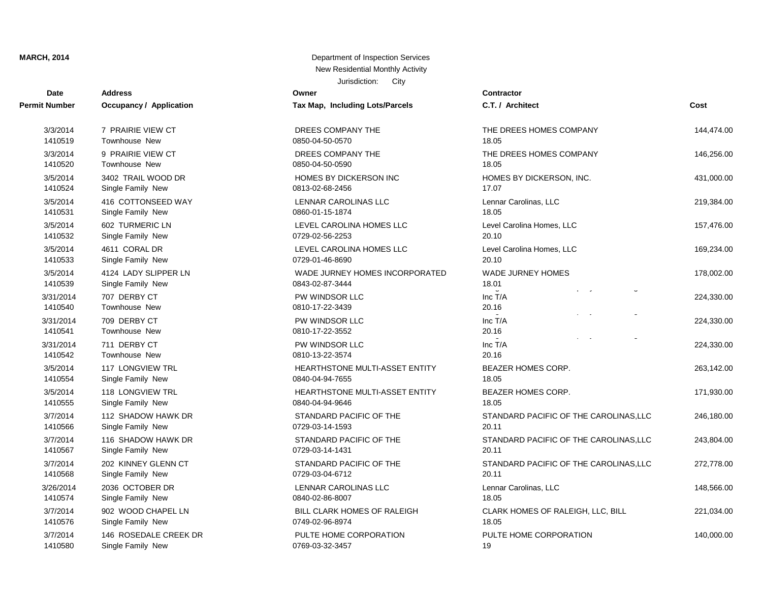| <b>Date</b>          | <b>Address</b>                 | Owner                             | Contractor                                         |            |
|----------------------|--------------------------------|-----------------------------------|----------------------------------------------------|------------|
| Permit Number        | <b>Occupancy / Application</b> | Tax Map, Including Lots/Parcels   | C.T. / Architect                                   | Cost       |
| 3/3/2014             | 7 PRAIRIE VIEW CT              | DREES COMPANY THE                 | THE DREES HOMES COMPANY                            | 144,474.00 |
| 1410519              | <b>Townhouse New</b>           | 0850-04-50-0570                   | 18.05                                              |            |
| 3/3/2014             | 9 PRAIRIE VIEW CT              | DREES COMPANY THE                 | THE DREES HOMES COMPANY                            | 146,256.00 |
| 1410520              | <b>Townhouse New</b>           | 0850-04-50-0590                   | 18.05                                              |            |
| 3/5/2014             | 3402 TRAIL WOOD DR             | HOMES BY DICKERSON INC            | HOMES BY DICKERSON, INC.                           | 431,000.00 |
| 1410524              | Single Family New              | 0813-02-68-2456                   | 17.07                                              |            |
| 3/5/2014             | 416 COTTONSEED WAY             | LENNAR CAROLINAS LLC              | Lennar Carolinas, LLC                              | 219,384.00 |
| 1410531              | Single Family New              | 0860-01-15-1874                   | 18.05                                              |            |
| 3/5/2014             | 602 TURMERIC LN                | LEVEL CAROLINA HOMES LLC          | Level Carolina Homes, LLC                          | 157,476.00 |
| 1410532              | Single Family New              | 0729-02-56-2253                   | 20.10                                              |            |
| 3/5/2014             | 4611 CORAL DR                  | LEVEL CAROLINA HOMES LLC          | Level Carolina Homes, LLC                          | 169,234.00 |
| 1410533              | Single Family New              | 0729-01-46-8690                   | 20.10                                              |            |
| 3/5/2014             | 4124 LADY SLIPPER LN           | WADE JURNEY HOMES INCORPORATED    | <b>WADE JURNEY HOMES</b>                           | 178,002.00 |
| 1410539              | Single Family New              | 0843-02-87-3444                   | 18.01                                              |            |
| 3/31/2014<br>1410540 | 707 DERBY CT<br>Townhouse New  | PW WINDSOR LLC<br>0810-17-22-3439 | $\mathbf{r} = -\mathbf{z}$<br>Inc T/A<br>20.16     | 224,330.00 |
| 3/31/2014<br>1410541 | 709 DERBY CT<br>Townhouse New  | PW WINDSOR LLC<br>0810-17-22-3552 | $\overline{\phantom{a}}$<br>Inc T/A<br>20.16       | 224,330.00 |
| 3/31/2014<br>1410542 | 711 DERBY CT<br>Townhouse New  | PW WINDSOR LLC<br>0810-13-22-3574 | $\sim$<br>$\ddot{\phantom{0}}$<br>Inc T/A<br>20.16 | 224,330.00 |
| 3/5/2014             | <b>117 LONGVIEW TRL</b>        | HEARTHSTONE MULTI-ASSET ENTITY    | BEAZER HOMES CORP.                                 | 263,142.00 |
| 1410554              | Single Family New              | 0840-04-94-7655                   | 18.05                                              |            |
| 3/5/2014             | 118 LONGVIEW TRL               | HEARTHSTONE MULTI-ASSET ENTITY    | BEAZER HOMES CORP.                                 | 171,930.00 |
| 1410555              | Single Family New              | 0840-04-94-9646                   | 18.05                                              |            |
| 3/7/2014             | 112 SHADOW HAWK DR             | STANDARD PACIFIC OF THE           | STANDARD PACIFIC OF THE CAROLINAS, LLC             | 246,180.00 |
| 1410566              | Single Family New              | 0729-03-14-1593                   | 20.11                                              |            |
| 3/7/2014             | 116 SHADOW HAWK DR             | STANDARD PACIFIC OF THE           | STANDARD PACIFIC OF THE CAROLINAS, LLC             | 243,804.00 |
| 1410567              | Single Family New              | 0729-03-14-1431                   | 20.11                                              |            |
| 3/7/2014             | 202 KINNEY GLENN CT            | STANDARD PACIFIC OF THE           | STANDARD PACIFIC OF THE CAROLINAS, LLC             | 272,778.00 |
| 1410568              | Single Family New              | 0729-03-04-6712                   | 20.11                                              |            |
| 3/26/2014            | 2036 OCTOBER DR                | LENNAR CAROLINAS LLC              | Lennar Carolinas, LLC                              | 148,566.00 |
| 1410574              | Single Family New              | 0840-02-86-8007                   | 18.05                                              |            |
| 3/7/2014             | 902 WOOD CHAPEL LN             | BILL CLARK HOMES OF RALEIGH       | CLARK HOMES OF RALEIGH, LLC, BILL                  | 221,034.00 |
| 1410576              | Single Family New              | 0749-02-96-8974                   | 18.05                                              |            |
| 3/7/2014             | 146 ROSEDALE CREEK DR          | PULTE HOME CORPORATION            | PULTE HOME CORPORATION                             | 140,000.00 |
| 1410580              | Single Family New              | 0769-03-32-3457                   | 19                                                 |            |

| uulillaului                                     |            |
|-------------------------------------------------|------------|
| C.T. / Architect                                | Cost       |
| THE DREES HOMES COMPANY<br>18.05                | 144,474.00 |
| THE DREES HOMES COMPANY<br>18.05                | 146,256.00 |
| HOMES BY DICKERSON, INC.<br>17.07               | 431,000.00 |
| Lennar Carolinas, LLC<br>18.05                  | 219,384.00 |
| Level Carolina Homes, LLC<br>20.10              | 157,476.00 |
| Level Carolina Homes, LLC<br>20.10              | 169,234.00 |
| <b>WADE JURNEY HOMES</b><br>18.01               | 178,002.00 |
| U<br>Inc T/A<br>20.16                           | 224,330.00 |
| U<br>Inc T/A<br>20.16                           | 224,330.00 |
| J<br>Inc T/A<br>20.16                           | 224,330.00 |
| BEAZER HOMES CORP.<br>18.05                     | 263,142.00 |
| BEAZER HOMES CORP.<br>18.05                     | 171,930.00 |
| STANDARD PACIFIC OF THE CAROLINAS, LLC<br>20.11 | 246,180.00 |
| STANDARD PACIFIC OF THE CAROLINAS, LLC<br>20.11 | 243,804.00 |
| STANDARD PACIFIC OF THE CAROLINAS, LLC<br>20.11 | 272,778.00 |
| Lennar Carolinas, LLC<br>18.05                  | 148,566.00 |
| CLARK HOMES OF RALEIGH, LLC, BILL<br>18.05      | 221,034.00 |
| PULTE HOME CORPORATION                          | 140,000.00 |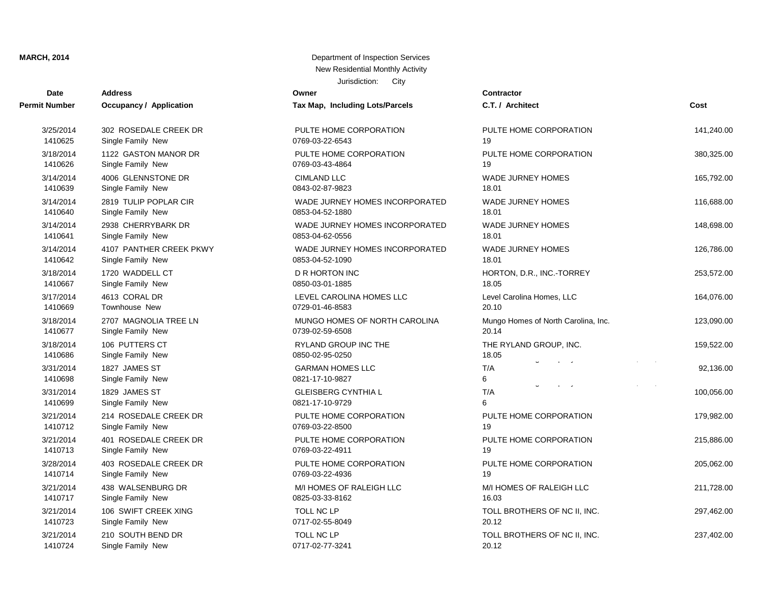| <b>Date</b>          | <b>Address</b>                 | Owner                           | <b>Contractor</b>                   |            |
|----------------------|--------------------------------|---------------------------------|-------------------------------------|------------|
| <b>Permit Number</b> | <b>Occupancy / Application</b> | Tax Map, Including Lots/Parcels | C.T. / Architect                    | Cost       |
| 3/25/2014            | 302 ROSEDALE CREEK DR          | PULTE HOME CORPORATION          | PULTE HOME CORPORATION              | 141,240.00 |
| 1410625              | Single Family New              | 0769-03-22-6543                 | 19                                  |            |
| 3/18/2014            | 1122 GASTON MANOR DR           | PULTE HOME CORPORATION          | PULTE HOME CORPORATION              | 380,325.00 |
| 1410626              | Single Family New              | 0769-03-43-4864                 | 19                                  |            |
| 3/14/2014            | 4006 GLENNSTONE DR             | <b>CIMLAND LLC</b>              | <b>WADE JURNEY HOMES</b>            | 165,792.00 |
| 1410639              | Single Family New              | 0843-02-87-9823                 | 18.01                               |            |
| 3/14/2014            | 2819 TULIP POPLAR CIR          | WADE JURNEY HOMES INCORPORATED  | <b>WADE JURNEY HOMES</b>            | 116,688.00 |
| 1410640              | Single Family New              | 0853-04-52-1880                 | 18.01                               |            |
| 3/14/2014            | 2938 CHERRYBARK DR             | WADE JURNEY HOMES INCORPORATED  | <b>WADE JURNEY HOMES</b>            | 148,698.00 |
| 1410641              | Single Family New              | 0853-04-62-0556                 | 18.01                               |            |
| 3/14/2014            | 4107 PANTHER CREEK PKWY        | WADE JURNEY HOMES INCORPORATED  | <b>WADE JURNEY HOMES</b>            | 126,786.00 |
| 1410642              | Single Family New              | 0853-04-52-1090                 | 18.01                               |            |
| 3/18/2014            | 1720 WADDELL CT                | D R HORTON INC                  | HORTON, D.R., INC.-TORREY           | 253,572.00 |
| 1410667              | Single Family New              | 0850-03-01-1885                 | 18.05                               |            |
| 3/17/2014            | 4613 CORAL DR                  | LEVEL CAROLINA HOMES LLC        | Level Carolina Homes, LLC           | 164,076.00 |
| 1410669              | Townhouse New                  | 0729-01-46-8583                 | 20.10                               |            |
| 3/18/2014            | 2707 MAGNOLIA TREE LN          | MUNGO HOMES OF NORTH CAROLINA   | Mungo Homes of North Carolina, Inc. | 123,090.00 |
| 1410677              | Single Family New              | 0739-02-59-6508                 | 20.14                               |            |
| 3/18/2014            | 106 PUTTERS CT                 | <b>RYLAND GROUP INC THE</b>     | THE RYLAND GROUP, INC.              | 159,522.00 |
| 1410686              | Single Family New              | 0850-02-95-0250                 | 18.05                               |            |
| 3/31/2014            | 1827 JAMES ST                  | <b>GARMAN HOMES LLC</b>         | T/A                                 | 92,136.00  |
| 1410698              | Single Family New              | 0821-17-10-9827                 | 6                                   |            |
| 3/31/2014            | 1829 JAMES ST                  | <b>GLEISBERG CYNTHIA L</b>      | T/A                                 | 100,056.00 |
| 1410699              | Single Family New              | 0821-17-10-9729                 | 6                                   |            |
| 3/21/2014            | 214 ROSEDALE CREEK DR          | PULTE HOME CORPORATION          | PULTE HOME CORPORATION              | 179,982.00 |
| 1410712              | Single Family New              | 0769-03-22-8500                 | 19                                  |            |
| 3/21/2014            | 401 ROSEDALE CREEK DR          | PULTE HOME CORPORATION          | PULTE HOME CORPORATION              | 215,886.00 |
| 1410713              | Single Family New              | 0769-03-22-4911                 | 19                                  |            |
| 3/28/2014            | 403 ROSEDALE CREEK DR          | PULTE HOME CORPORATION          | PULTE HOME CORPORATION              | 205,062.00 |
| 1410714              | Single Family New              | 0769-03-22-4936                 | 19                                  |            |
| 3/21/2014            | 438 WALSENBURG DR              | M/I HOMES OF RALEIGH LLC        | M/I HOMES OF RALEIGH LLC            | 211,728.00 |
| 1410717              | Single Family New              | 0825-03-33-8162                 | 16.03                               |            |
| 3/21/2014            | 106 SWIFT CREEK XING           | <b>TOLL NC LP</b>               | TOLL BROTHERS OF NC II, INC.        | 297,462.00 |
| 1410723              | Single Family New              | 0717-02-55-8049                 | 20.12                               |            |
| 3/21/2014            | 210 SOUTH BEND DR              | TOLL NC LP                      | TOLL BROTHERS OF NC II, INC.        | 237,402.00 |
| 1410724              | Single Family New              | 0717-02-77-3241                 | 20.12                               |            |